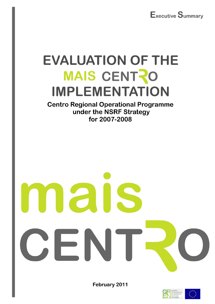

# **EVALUATION OF THE** MAIS CENTRO **IMPLEMENTATION**

**Centro Regional Operational Programme** under the NSRF Strategy for 2007-2008

# 2

February 2011



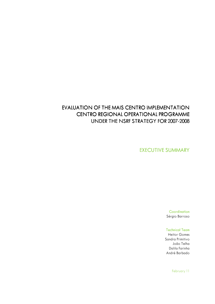# EVALUATION OF THE MAIS CENTRO IMPLEMENTATION CENTRO REGIONAL OPERATIONAL PROGRAMME UNDER THE NSRF STRATEGY FOR 2007-2008

### EXECUTIVE SUMMARY

**Coordination** Sérgio Barroso

**Technical Team** 

Heitor Gomes Sandra Primitivo João Telha Dalila Farinha André Barbado

February 11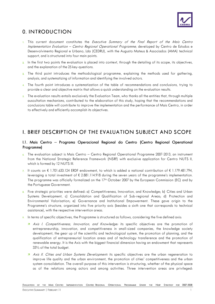

# 0. INTRODUCTION

- 1. This current document constitutes the Executive Summary of the Final Report of the Mais Centro Implementation Evaluation – Centro Regional Operational Programme, developed by Centro de Estudos e Desenvolvimento Regional e Urbano, Lda (CEDRU), with the Augusto Mateus & Associados (AMA) technical support, and is structured into four main points.
- 2. In the first two points the evaluation is placed into context, through the detailing of its scope, its objectives, and the explanation of the 25 key-questions.
- 3. The third point introduces the methodological programme, explaining the methods used for gathering, analysis, and systematizing of information and identifying the involved actors.
- The fourth point introduces a systematization of the table of recommendations and conclusions, trying to provide a clear and objective matrix that allows a quick understanding on the evaluation results.
- 5. The evaluation results entails exclusively the Evaluation Team, who thanks all the entities that, through multiple auscultation mechanisms, contributed to the elaboration of this study, hoping that the recommendations and conclusions table will contribute to improve the implementation and the performance of Mais Centro, in order to effectively and efficiently accomplish its objectives.

## I. BRIEF DESCRIPTION OF THE EVALUATION SUBJECT AND SCOPE

#### I.1. Mais Centro – Programa Operacional Regional do Centro (Centro Regional Operational Programme)

- 6. The evaluation subject is Mais Centro Centro Regional Operational Programme 2007-2013, an instrument from the National Strategic Reference Framework (NSRF) with exclusive application for Centro NUTS II, which is formed by 12 NUTS III.
- 7. It counts on € 1.701.633.124 ERDF endowment, to which is added a national contribution of € 1.179.481.794, leveraging a total investment of € 2.881.114.918 during the seven years of the programme's implementation. The programme was officially formalized on the 17th October 2007 by the European Commission (EC) and by the Portuguese Government.
- 8. Five strategic priorities were defined: a) Competitiveness, Innovation, and Knowledge; b) Cities and Urban Systems Development, c) Consolidation and Qualification of Sub-regional Areas; d) Protection and Environmental Valorisation; e) Governance and Institutional Empowerment. These gave origin to the Programme's structure, organized into five priority axis (besides a sixth one that corresponds to technical assistance), with the respective intervention areas.
- 9. In terms of specific objectives, the Programme is structured as follows, considering the five defined axis:
	- A Axis I. Competitiveness, Innovation, and Knowledge: its specific objectives are the promotion of entrepreneurship, innovation, and competitiveness in small-sized companies, the knowledge society development, the gear up of the scientific and technological system, the promotion of planning, and the qualification of entrepreneurial location areas and of technology transference and the promotion of renewable energy. It is the Axis with the biggest financial dimension having an endowment that represents 33% of the total budget.
	- A Axis II. Cities and Urban Systems Development: its specific objectives are the urban regeneration to improve life quality and the urban environment, the promotion of cities' competitiveness and the urban system consolidation. The overall purpose of this intervention is structuring, whether of the physical space as of the relations among actors and among activities. Three intervention areas are privileged: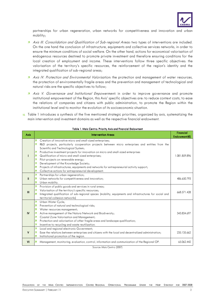

partnerships for urban regeneration, urban networks for competitiveness and innovation and urban mobility;

- A Axis III. Consolidation and Qualification of Sub-regional Areas: two types of interventions are included. On the one hand the conclusion of infrastructure, equipments and collective services networks, in order to ensure the minimum conditions of social welfare. On the other hand, actions for economical valorisation of endogenous resources destined to promote private investment and therefore ensuring conditions for the local creation of employment and income. These interventions follow three specific objectives: the valorisation of the territory's specific resources, the reinforcement of the region's identity and the integrated qualification of sub-regional areas;
- A Axis IV. Protection and Environmental Valorisation: the protection and management of water resources, the protection of environmentally fragile areas and the prevention and management of technological and natural risks are the specific objectives to follow;
- A Axis V. Governance and Institutional Empowerment: in order to improve governance and promote institutional empowerment of the Region, this Axis' specific objectives are: to reduce context costs, to ease the relations of companies and citizens with public administration, to promote the Region within the institutional level and to monitor the evolution of its socioeconomic situation.
- 10. Table 1 introduces a synthesis of the five mentioned strategic priorities, organized by axis, systematizing the main intervention and investment domains as well as the respective financial endowment.

| Axis         | <b>Intervention Areas</b>                                                                                                                                                                                                                                                                                                                                                                                                                                                                                                                                                                                                                                                   | <b>Financial</b><br>Endowment $(\epsilon)$ |
|--------------|-----------------------------------------------------------------------------------------------------------------------------------------------------------------------------------------------------------------------------------------------------------------------------------------------------------------------------------------------------------------------------------------------------------------------------------------------------------------------------------------------------------------------------------------------------------------------------------------------------------------------------------------------------------------------------|--------------------------------------------|
|              | Creation of innovative micro and small-sized enterprises;<br>$\overline{\mathbf{z}}$<br>R&D projects, particularly cooperation projects between micro enterprises and entities from the<br>71<br>Scientific and Technological System;<br>Productive investment projects for innovation on micro and small-sized enterprises<br>71.<br>Qualification of micro and small-sized enterprises;<br>$\overline{\mathbf{z}}$<br>Pilot-projects on renewable energy;<br>71<br>Development of the Knowledge Society;<br>71<br>Projects of infrastructures, equipments and networks for entrepreneurial activity support;<br>Collective actions for entrepreneurial development.<br>71 | 1.081.859.896                              |
| Ш            | и.<br>Partnerships for urban regeneration;<br>Urban networks for competitiveness and innovation;<br>$\overline{\mathbf{z}}$<br>Urban mobility.<br>21                                                                                                                                                                                                                                                                                                                                                                                                                                                                                                                        | 486.650.793                                |
| $\mathbf{H}$ | Provision of public goods and services in rural areas;<br>71<br>Valorisation of the territory's specific resources;<br>71.<br>Integrated qualification of sub-regional spaces (mobility, equipments and infrastructures for social and<br>Ζ<br>territorial cohesion networks)                                                                                                                                                                                                                                                                                                                                                                                               | 668.571.428                                |
| <b>IV</b>    | Urban Water Cycle;<br>21<br>Prevention of natural and technological risks;<br>И.<br>Water resources management;<br>И.<br>Active management of the Natura Network and Biodiversity;<br>$\overline{\mathbf{z}}$<br>Coastal Zone Valorisation and Management;<br>71<br>Protection and valorisation of other fragile areas and landscape qualification;<br>71<br>Incentive to recycling and waste reutilization.<br>71.                                                                                                                                                                                                                                                         | 343.834.697                                |
| v            | Local and regional electronic Government;<br>71<br>Ease the relations between enterprises and citizens with the local and decentralized administration;<br>7<br>Institutional promotion of the region.<br>71                                                                                                                                                                                                                                                                                                                                                                                                                                                                | 235.135.662                                |
| VI           | Management, monitoring, evaluation, control, information and communication of the Regional OP.<br>71                                                                                                                                                                                                                                                                                                                                                                                                                                                                                                                                                                        | 65.062.442                                 |

Table 1. Mais Centro: Priority Axis and Financial Endowment

Source: Mais Centro (2007)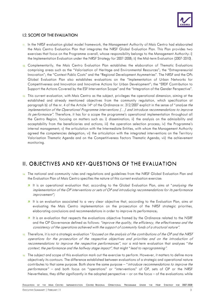

#### **I.2. SCOPE OF THE EVALUATION**

- 11. In the NRSF evaluation global model framework, the Management Authority of Mais Centro had elaborated the Mais Centro Evaluation Plan that integrates the NRSF Global Evaluation Plan. This Plan provides two exercises that focus on the Programme overall, whose responsibility belongs to the Management Authority: i) the Implementation Evaluation under the NRSF Strategy for 2007-2008; ii) the Mid-term Evaluation (2007-2010).
- 12. Complementarily, the Mais Centro Evaluation Plan establishes the elaboration of Thematic Evaluations comprising areas such as the "Valorisation of Heritage and Environmental Resources"; the "Entrepreneurial Innovation"; the "Context Public Costs" and the "Regional Development Asymmetries". The NRSF and the OPs Global Evaluation Plan also establishes evaluations on the "Implementation of Urban Networks for Competitiveness and Innovation and Innovative Actions for Urban Development"; the "ERDF Contribution to Support the Actions Covered by the ESF Intervention Scope" and the "Integration of the Gender Perspective".
- 13. This current evaluation, with Mais Centro as the subject, privileges the operational dimension, aiming at the established and already mentioned objectives from the community regulation, which specification at paragraph b) of the nr. 4 of the Article 14<sup>th</sup> of the Ordinance nr. 312/2007 explicit in the sense of "*analyse the* implementation of the Operational Programme interventions (…) and introduce recommendations to improve its performance". Therefore, it has for a scope the programme's operational implementation throughout all the Centro Region, focusing on matters such as: i) dissemination; ii) the analysis on the admissibility and acceptability from the beneficiaries and actions; iii) the operation selection process; iv) the Programme's internal management; v) the articulation with the Intermediate Entities, with whom the Management Authority agreed the competencies delegation; vi) the articulation with the integrated interventions on the Territory Valorisation Thematic Agenda and on the Competitiveness Factors Thematic Agenda; vii) the achievement monitoring.

# II. OBJECTIVES AND KEY-QUESTIONS OF THE EVALUATION

- 14. The national and community rules and regulations and guidelines from the NRSF Global Evaluation Plan and the Evaluation Plan of Mais Centro specifies the nature of this current evaluation exercise:
	- **7** It is an operational evaluation that, according to the Global Evaluation Plan, aims at "*analysing the* implementation of the OP interventions or sets of OP and introducing recommendations for its performance improvement";
	- **7** It is an evaluation associated to a very clear objective that, according to the Evaluation Plan, aims at evaluating the Mais Centro implementation on the prosecution of the NRSF strategic priorities, elaborating conclusions and recommendations in order to improve its performance;
	- **It** is an evaluation that respects the evaluations objective framed by the Ordinance related to the NSRF and the OP Governance defined as follows: "improve the quality, the efficiency, the effectiveness and the consistency of the operations achieved with the support of community funds of a structural nature".
- 15. Therefore, it is not a strategic evaluation "focused on the analysis of the contributions of the OP and the NRSF operations for the prosecution of the respective objectives and priorities and on the introduction of recommendations to improve the respective performances", nor a mid-term evaluation that analyses "the context, the performance and the halfway stage impact", that might "lead to reprogramming".
- 16. The subject and scope of this evaluation mark out the exercise to perform. However, it matters to define more objectively its contours. The difference established between evaluations of a strategic and operational nature contributes to that same purpose. Both share the same purpose – "*introduce recommendations to improve the* performance" – and both focus on "operations" or "interventions" of OP, sets of OP or the NRSF Nevertheless, they differ significantly in the adopted perspective – or on the focus – of the evaluations: while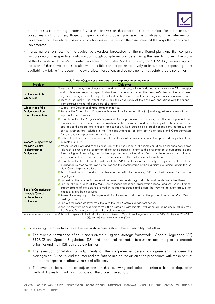

the exercises of a strategic nature favour the analysis on the operations' contributions for the prosecuted objectives and priorities, those of operational character privilege the analysis on the interventions' implementation. Therefore, this evaluation focuses exclusively on the assessment of the ways the Programme is implemented.

17. It also matters to stress that the evaluative exercises forecasted for the mentioned plans and that comprise multiple analysis perspectives, autonomous though complementary, determining the need to frame in the works of the Evaluation of the Mais Centro Implementation under NRSF´s Strategy for 2007-2008, the reading and inclusion of those evaluations results, with possible contact points relatively to its subject – depending on its availability – taking into account the synergies, interactions and complementarities established among them.

| <b>Almprove the quality, the effectiveness, and the consistency of the funds intervention and the OP strategies</b><br>and achievement regarding specific structural problems that affect the Member-States and the considered                                                                                                                                                                                                                                                                                                                                                                                                                                                                                                                                                                                                                                                                                                                                                                                                                                                                                                                                                                                                                                                                                                                                                |
|-------------------------------------------------------------------------------------------------------------------------------------------------------------------------------------------------------------------------------------------------------------------------------------------------------------------------------------------------------------------------------------------------------------------------------------------------------------------------------------------------------------------------------------------------------------------------------------------------------------------------------------------------------------------------------------------------------------------------------------------------------------------------------------------------------------------------------------------------------------------------------------------------------------------------------------------------------------------------------------------------------------------------------------------------------------------------------------------------------------------------------------------------------------------------------------------------------------------------------------------------------------------------------------------------------------------------------------------------------------------------------|
| regions, bearing in mind the objective of sustainable development and strategic environmental evaluation.<br><b>Almprove the quality, the effectiveness, and the consistency of the achieved operations with the support</b><br>from community funds of a structural character.                                                                                                                                                                                                                                                                                                                                                                                                                                                                                                                                                                                                                                                                                                                                                                                                                                                                                                                                                                                                                                                                                               |
| 7 Support the Operational Programme monitoring.                                                                                                                                                                                                                                                                                                                                                                                                                                                                                                                                                                                                                                                                                                                                                                                                                                                                                                                                                                                                                                                                                                                                                                                                                                                                                                                               |
| <b>A</b> Analyse the Operational Programme interventions implementation () and suggest recommendations to                                                                                                                                                                                                                                                                                                                                                                                                                                                                                                                                                                                                                                                                                                                                                                                                                                                                                                                                                                                                                                                                                                                                                                                                                                                                     |
|                                                                                                                                                                                                                                                                                                                                                                                                                                                                                                                                                                                                                                                                                                                                                                                                                                                                                                                                                                                                                                                                                                                                                                                                                                                                                                                                                                               |
| <b>7</b> Contribute for the Programme's implementation improvement by analysing its different implementation<br>phases, namely the dissemination, the analysis on the admissibility and acceptability of the beneficiaries and<br>operations, the operations eligibility and selection, the Programme's internal management, the articulation<br>of the interventions included in the Thematic Agendas for Territory Valorisation and Competitiveness<br>Factors, and the implementation monitoring.<br>A Elaborate a first comparison between the implementation mechanisms and the approved projects with the<br><b>all and in the set of the set of the set of the scope</b> of the implementation mechanisms considered<br>relevant to ensure the prosecution of the set objectives - ensuring the presentation of outcomes in good<br>time aiming at introducing sustainable improvements in the Mais Centro implementation and allowing<br>increasing the levels of effectiveness and efficiency of the co-financed interventions.<br><b>7</b> Contribute to the Global Evaluation of the NRSF Implementation, namely the systematization of the<br>information related to the good practises and the identification of the dynamics explaining factors for the<br>7Set articulation and develop complementarities with the remaining NRSF evaluation exercises and the |
| 7 Understand the way the implementation prosecutes the strategic priorities and the defined objectives;<br>7 Find out the relevance of the Mais Centro management and organization model, analyse the institutional<br>empowerment of the actors evolved in its implementation and assess the way the relevant articulation<br>mechanisms are being ensured;<br>Assess the adequacy of the implementation instruments adopted to the prosecution of the Mais Centro<br>7 Find out the response level from the IS to the Mais Centro management needs;                                                                                                                                                                                                                                                                                                                                                                                                                                                                                                                                                                                                                                                                                                                                                                                                                         |
|                                                                                                                                                                                                                                                                                                                                                                                                                                                                                                                                                                                                                                                                                                                                                                                                                                                                                                                                                                                                                                                                                                                                                                                                                                                                                                                                                                               |

Table 2. Main Objectives of the Mais Centro Implementation Evaluation

(2009); NRSF Global Evaluation Plan (2009)

- 18. Considering the objectives table, the evaluation results should have a usability that allow:
	- **The eventual formulation of adjustments on the ruling and strategic framework General Regulation (GR)** ERDF/CF and Specific Regulations (SR) and additional normative instruments according to its strategic priorities and the NRSF´s strategic priorities;
	- **T** The eventual formulation of adjustments on the competencies delegation agreements between the Management Authority and the Intermediate Entities and on the articulation procedures with those entities in order to improve its effectiveness and efficiency;
	- **7** The eventual formulation of adjustments on the reviewing and selection criteria for the depuration methodologies for final classifications on the projects selection;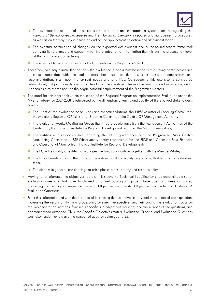

- **T** The eventual formulation of adjustments on the control and management system, namely regarding the Manual of Beneficiaries Procedures and the Manual of Internal Procedures and management procedures, as well as on the way it is disseminated and on the applications selection and assessment model.
- **T** The eventual formulation of changes on the expected achievement and outcome indicators framework verifying its relevance and capability for the production of information that mirrors the prosecution level of the Programme's objectives;
- **T** The eventual formulation of essential adjustments on the Programme's text.
- 19. Therefore, one may assume that not only the evaluation process must be made with a strong participation and in close interaction with the stakeholders, but also that the results in terms of conclusions and recommendations must meet the current needs and priorities. Consequently this exercise is considered relevant only if it produces dynamics that lead to value creation in terms of information and knowledge, and if it becomes a reinforcement on the organizational empowerment of the Programme's actors.
- 20. The need for this approach within the scope of the Regional Programme Implementation Evaluation under the NRSF Strategy for 2007-2008 is reinforced by the dimension, diversity and quality of the evolved stakeholders, namely:
	- **The users of the evaluation conclusions and recommendations: the NRSF Ministerial Steering Committee;** the Mainland Regional OP Ministerial Steering Committee; the Centro OP Management Authority;
	- **The evaluation works Monitoring Group that integrates elements from the Management Authorities of the** Centro OP, the Financial Institute for Regional Development and from the NRSF Observatory;
	- **7** The entities with responsibilities regarding the NRSF governance and the Programme: Mais Centro Monitoring Committee; NRSF Observatory, entity responsible for the ERDF and Cohesion Fund Financial and Operational Monitoring: Financial Institute for Regional Development;
	- **The EC** in the quality of entity that manages the Funds application together with the Member-State;
	- **The Funds beneficiaries, in the usage of the national and community regulations, that legally contextualizes** them;
	- **The citizens in general, considering the principles of transparency and responsibility.**
- 21. Having for a reference the objectives table of this study, the Technical Specifications had determined a set of evaluation questions that have functioned as a methodological guide. These questions were organized according to the logical sequence General Objective → Specific Objectives → Evaluation Criteria → Evaluation Questions.
- $22.$  From this referential and with the purpose of increasing the objectives clarity and the subject of each question, increasing the results utility (in a process-improvement perspective) and reinforcing the evaluation focus on the implementation methods, four main specific sub-objectives were set and the number of the questions, and approach were extended. Thus, the Specific Objectives matrix, Evaluation Criteria, and Evaluation Questions was taken under review and the number of questions changed to 25.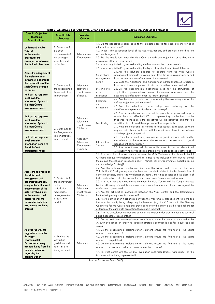

|  | Table 3. Objectives, Sub-Objectives, Criteria and Questions for Mais Centro Implementation Evaluation |  |
|--|-------------------------------------------------------------------------------------------------------|--|
|--|-------------------------------------------------------------------------------------------------------|--|

| <b>Specific Objectives</b><br>(Technical<br><b>Specifications</b> )                              | Specific Sub-<br>objectives                                                        | <b>Evaluation</b><br>Criteria                                                                         | <b>Evaluation Questions</b>                                                                                                                                                                                                                                                                                                             |                                                                                                                                                                                                                                                                                                                                                            |  |
|--------------------------------------------------------------------------------------------------|------------------------------------------------------------------------------------|-------------------------------------------------------------------------------------------------------|-----------------------------------------------------------------------------------------------------------------------------------------------------------------------------------------------------------------------------------------------------------------------------------------------------------------------------------------|------------------------------------------------------------------------------------------------------------------------------------------------------------------------------------------------------------------------------------------------------------------------------------------------------------------------------------------------------------|--|
| Understand in what                                                                               | 1. Contribute for<br>a better<br>achievement of<br>the strategic<br>priorities and | Adequacy and<br>Effectiveness                                                                         | intervention typologies?                                                                                                                                                                                                                                                                                                                | 1.1. Do the applications correspond to the expected profile for each axis and for each                                                                                                                                                                                                                                                                     |  |
| way the<br>implementation                                                                        |                                                                                    |                                                                                                       | recipients segments?                                                                                                                                                                                                                                                                                                                    | 1.2. What is the penetration level of the measures, actions, and projects in the different<br>1.3. Do the regulations meet the Mais Centro needs and objectives once they were                                                                                                                                                                             |  |
| prosecutes the<br>strategic priorities and                                                       |                                                                                    |                                                                                                       |                                                                                                                                                                                                                                                                                                                                         | developed after the Programme?                                                                                                                                                                                                                                                                                                                             |  |
| the defined objectives                                                                           | objectives                                                                         |                                                                                                       |                                                                                                                                                                                                                                                                                                                                         | 1.4. In what way is the Programme handling the Environment horizontal theme?<br>1.5. In what way is the Programme handling the Equal Opportunities horizontal theme?                                                                                                                                                                                       |  |
| Assess the adequacy of<br>the implementation<br>instruments adopted to<br>the prosecution of the |                                                                                    |                                                                                                       | Control and<br>management<br>system                                                                                                                                                                                                                                                                                                     | 2.1. Are the solutions adopted to operate with the Mais Centro<br>management adequate, allowing gains from the resources efficiency and<br>from the interventions effectiveness improvement?<br>2.2. Does the monitoring and management system guarantee efficiency<br>from the various management circuits and from the control devices?                  |  |
| Mais Centro strategic<br>priorities<br>Find out the response                                     | 2. Contribute for<br>the Programme's<br>implementation                             | Adequacy<br>Relevance<br>Effectiveness                                                                | Disseminatio<br>n and                                                                                                                                                                                                                                                                                                                   | 2.3. Do the dissemination mechanisms used for the stimulation of<br>applications presentations reveal themselves adequate for the                                                                                                                                                                                                                          |  |
| level from the<br><b>Information System to</b>                                                   | improvement                                                                        | Efficiency                                                                                            | Promotion<br>Selection<br>and                                                                                                                                                                                                                                                                                                           | dissemination of supports near the target-groups?<br>2.4. Are the approved selection criteria being the most adequate for the<br>defined objectives and measures?                                                                                                                                                                                          |  |
| the Mais Centro<br>management needs                                                              |                                                                                    |                                                                                                       | assessment                                                                                                                                                                                                                                                                                                                              | 2.5. Are the selection criteria<br>being<br>used<br>uniformly at<br>the<br>densification/implementation level, step by step?                                                                                                                                                                                                                               |  |
| Find out the response<br>level from the<br><b>Information System to</b><br>the Mais Centro       | 2. Contribute for<br>the Programme's                                               | Adequacy<br>Relevance<br><b>Effectiveness</b><br>Efficiency<br>Adequacy<br>Relevance<br>Effectiveness | Monitoring                                                                                                                                                                                                                                                                                                                              | 2.6. Are the monitoring processes of the projects on-going and ex-post<br>results the most effective? What complementary mechanisms can be<br>triggered to make sure the objectives will be achieved and that the<br>conditions that allowed the approval will be respected?<br>2.7. Have the electronic instruments (for applications submission, payment |  |
| management needs                                                                                 |                                                                                    |                                                                                                       |                                                                                                                                                                                                                                                                                                                                         | requests, etc.) been simple and with the requirement level in accordance<br>with the projects dimension?                                                                                                                                                                                                                                                   |  |
| Find out the response<br>level from the<br>Information System to<br>the Mais Centro              | implementation<br>improvement                                                      |                                                                                                       | Information<br>System                                                                                                                                                                                                                                                                                                                   | 2.8. Does the information system ensure, in good time and with quality,<br>the release of the adequate information and necessary to a good<br>management performance?<br>2.9. Are the outcome and physical achievement indicators relevant and                                                                                                             |  |
| management needs                                                                                 |                                                                                    | Efficiency                                                                                            |                                                                                                                                                                                                                                                                                                                                         | with quality, namely regarding credibility of data collection gathering?<br>3.1. Are the articulation mechanisms between the Mais Centro and the Human Potential                                                                                                                                                                                           |  |
|                                                                                                  |                                                                                    |                                                                                                       | and Knowledge Society)?                                                                                                                                                                                                                                                                                                                 | OP being adequately implemented on what relates to the inclusion of the four horizontal<br>theme from the cohesion European policy (Training, Equal Opportunities, Social Inclusion<br>3.2. Are the articulation mechanisms between the Mais Centro and the Territory                                                                                      |  |
| Assess the relevance of<br>the Mais Centro<br>management and                                     | 3. Contribute for                                                                  | Adequacy<br>Relevance                                                                                 |                                                                                                                                                                                                                                                                                                                                         | Valorisation OP being adequately implemented on what relates to the implementation of<br>cohesion policies, and territory valorisation, namely the cities policies and the closure of<br>instruments networks for the national urban systems cohesion and consolidation?                                                                                   |  |
| organization model,<br>analyse the institutional<br>empowerment of the                           | the improvement<br>of the<br>articulation                                          |                                                                                                       | co-financed operations?                                                                                                                                                                                                                                                                                                                 | 3.3. Are the articulation mechanisms between the Mais Centro and the Competitiveness<br>Factors OP being adequately implemented at a complementary level, and leverage of the                                                                                                                                                                              |  |
| actors evolved in its<br>implementation and                                                      | mechanisms<br>management and                                                       | Effectiveness<br>Efficiency                                                                           | 3.4. Are the articulation mechanisms between the Mais Centro and the Intermediate<br>Entities being adequately implemented?                                                                                                                                                                                                             |                                                                                                                                                                                                                                                                                                                                                            |  |
| assess the way the<br>relevant articulation<br>mechanisms are being<br>ensured                   | organization<br>model                                                              |                                                                                                       | 3.5. Are the articulation mechanisms between the Programme's management structure and<br>the reception entity being adequately implemented (e.g. the OP resorts to the Steering<br>Committee for the Centro Regional Development for the analysis on the regional impact<br>criterion of the candidate projects to the Support Scheme)? |                                                                                                                                                                                                                                                                                                                                                            |  |
|                                                                                                  |                                                                                    |                                                                                                       | 3.6. Are the articulation mechanisms between the regional decision-entities and sectoral<br>being adequately implemented?                                                                                                                                                                                                               |                                                                                                                                                                                                                                                                                                                                                            |  |
|                                                                                                  |                                                                                    |                                                                                                       | scale?                                                                                                                                                                                                                                                                                                                                  | 3.7. Do the used contract-based model contribute to meet the concerns identified in the<br>ex-ante evaluation, in order to establish strategic contract logics for a sub-regional                                                                                                                                                                          |  |
| Analyse the way the<br>suggestions from the                                                      |                                                                                    | Adequacy                                                                                              | related to marketplaces?                                                                                                                                                                                                                                                                                                                | 4.1. Do the programme's implementation solutions ensure the fulfilment of the norms                                                                                                                                                                                                                                                                        |  |
| Strategic<br>Environmental                                                                       | 4. Analyse the<br>way ruling<br>guidelines and<br>referrals are                    |                                                                                                       | related to competition?                                                                                                                                                                                                                                                                                                                 | 4.2. Do the programme's implementation solutions ensure the fulfilment of the norms                                                                                                                                                                                                                                                                        |  |
| <b>Evaluation is being</b><br>accepted, and from the<br>ex-ante Evaluation                       |                                                                                    |                                                                                                       |                                                                                                                                                                                                                                                                                                                                         | 4.3. Do the programme's implementation solutions ensure the fulfilment of the norms<br>related to environment under the projects selection criteria?                                                                                                                                                                                                       |  |
| regarding the<br>implementation                                                                  | being included                                                                     |                                                                                                       |                                                                                                                                                                                                                                                                                                                                         | 4.4. To what extent are the <i>ex-ante</i> evaluation recommendations, with impact on the<br>implementation, being implemented?                                                                                                                                                                                                                            |  |

Source: Evaluation Team (2010)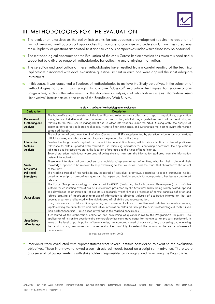

# III. METHODOLOGIES FOR THE EVALUATION

- 23. The evaluation exercises on the policy instruments for socioeconomic development require the adoption of multi-dimensional methodological approaches that manage to comprise and understand, in an integrated way, the multiplicity of questions associated to it and the various perspectives under which these may be observed.
- 24. The methodological approach for the Evaluation of the Mais Centro Implementation has taken this need and is supported by a diverse range of methodologies for collecting and analyzing information.
- 25. The selection and application of these methodologies have resulted from a careful reading of the technical implications associated with each evaluation question, so that in each one were applied the most adequate instruments.
- 26. In this sense, it was conceived a Toolbox of methodologies to achieve the Study objectives. In the selection of methodologies to use, it was sought to combine "classical" evaluation techniques for socioeconomic programmes, such as the interviews, or the documents analysis, and information systems information, using "innovative" instruments as is the case of the Beneficiary Web Survey.

| <b>Designation</b>                                    | <b>Description</b>                                                                                                                                                                                                                                                                                                                                                                                                                                                                                                                                                                                                                                                                                                                                                                                                                                                                |
|-------------------------------------------------------|-----------------------------------------------------------------------------------------------------------------------------------------------------------------------------------------------------------------------------------------------------------------------------------------------------------------------------------------------------------------------------------------------------------------------------------------------------------------------------------------------------------------------------------------------------------------------------------------------------------------------------------------------------------------------------------------------------------------------------------------------------------------------------------------------------------------------------------------------------------------------------------|
| <b>Documental</b><br><b>Gathering and</b><br>Analysis | The back-office work consisted of the identification, selection and collection of reports, regulations, application<br>forms, technical studies and other documents that report to global strategic guidelines, sectoral and territorial, or<br>relating to the Mais Centro management and to other interventions under the NSRF. Subsequently, the analysis of<br>documentary sources collected took place, trying to filter, summarize, and systematize the most relevant information<br>contained therein.                                                                                                                                                                                                                                                                                                                                                                     |
| Information<br><b>Systems</b><br>Analysis             | The collection of data from the IS of Mais Centro and NRSF's supplemented by statistical information from various<br>official sources, was a basic methodology for the preparation of the Study.<br>Besides the Programme's physical and financial implementation levels, within this evaluation, is also of particular<br>relevance to obtain updated data related to the remaining indicators for monitoring operations, the applications<br>submitted and its respective state, the location of projects and the types of beneficiaries.<br>Several statistical techniques were used allowing them to transform the information gathered from the information<br>systems into indicators.                                                                                                                                                                                      |
| Semi-<br>Structured<br>individual<br>interviews       | These are interviews whose speakers are individuals/representatives of entities, who for their role and their<br>knowledge, appear to be relevant to help explaining to the Evaluation Team the issues that characterize the object<br>of the study.<br>The working model of this methodology consisted of individual interviews, according to a semi-structured model,<br>based on a script of pre-defined questions, but open and flexible enough to incorporate other issues considered<br>relevant.                                                                                                                                                                                                                                                                                                                                                                           |
| <b>Focus Group</b>                                    | The Focus Group methodology is referred at EVALSED (Evaluating Socio Economic Development) as a suitable<br>method for conducting evaluations of interventions promoted by the Structural Funds, being widely tested, applied<br>and developed as an instrument of qualitative research, which through processes of careful samples definition and<br>refined drawing of input/output relations of information is obtained volumes of qualitative information that can<br>become a pattern and be used with a high degree of reliability and representation.<br>Using this method of information gathering was essential to have a credible and reliable information source,<br>supplementing the quantitative and qualitative information obtained through the other methodological tools. Given<br>their performance time, it also aimed at validating the reached conclusions. |
| Beneficiary<br><b>Web Survey</b>                      | It consisted of the elaboration, collection and processing of questionnaires to the Programme's recipients. The<br>application of this online questionnaire methodology has many advantages for the evaluation process, particularly in<br>terms of the level of participation of beneficiaries, the increased speed of communication, processing and analyzing<br>the results, saving resources and consequently, the possibility to extend the inquiry to the entire universe of<br>beneficiaries.                                                                                                                                                                                                                                                                                                                                                                              |

Table 4. Toolbox of Methodologies for Evaluation

Source: Evaluation Team (2010)

 $\overline{27}$ . Interviews were conducted with representatives from several entities considered relevant to the evaluation objectives. These interviews followed a semi-structured model, based on a script set in advance. There were also several follow up meetings with stakeholders responsible for managing and monitoring the Programme.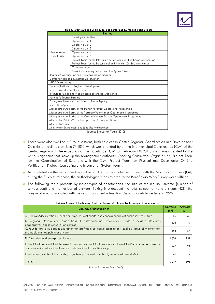

| Table 5. Interviews and VV ork Meetings performed by the Evaluation Team<br><b>Entities</b> |                                                                        |  |  |  |
|---------------------------------------------------------------------------------------------|------------------------------------------------------------------------|--|--|--|
|                                                                                             | <b>Steering Committee</b>                                              |  |  |  |
|                                                                                             | Operative Unit 1                                                       |  |  |  |
|                                                                                             | Operative Unit 2                                                       |  |  |  |
|                                                                                             | Operative Unit 3                                                       |  |  |  |
| Management                                                                                  | Operative Unit 4                                                       |  |  |  |
| Authority                                                                                   | Operative Unit 5                                                       |  |  |  |
|                                                                                             | Project Team for the Intermunicipal Communities Relations Coordination |  |  |  |
|                                                                                             | Project Team for the Documental and Physical On-Site Verification      |  |  |  |
|                                                                                             | Communication                                                          |  |  |  |
|                                                                                             | Project, Computing and Information System Team                         |  |  |  |
|                                                                                             | Regional Coordination and Development Commission                       |  |  |  |
|                                                                                             | Centre for Regional Dynamics Observation                               |  |  |  |
| <b>NRSF Observatory</b>                                                                     |                                                                        |  |  |  |
| Financial Institute for Regional Development                                                |                                                                        |  |  |  |
| Inspectorate-General for Finances                                                           |                                                                        |  |  |  |
| Institute for Small and Medium-sized Enterprises Assistance                                 |                                                                        |  |  |  |
| Portugal's Tourism Institute                                                                |                                                                        |  |  |  |
|                                                                                             | Portuguese Investment and External Trade Agency                        |  |  |  |
| Innovation Agency                                                                           |                                                                        |  |  |  |
| Management Authority of the Human Potential Operational Programme                           |                                                                        |  |  |  |
| Management Authority of the Territory Valorisation Operational Programme                    |                                                                        |  |  |  |
| Management Authority of the Competitiveness Factors Operational Programme                   |                                                                        |  |  |  |
| Ministry for Public Works, Transport and Communications                                     |                                                                        |  |  |  |
| Ministry for Culture                                                                        |                                                                        |  |  |  |
| Ministry for Environment and Land Use Management                                            |                                                                        |  |  |  |

Table5. Interviews and Work Meetings performed by the Eva Interviews Work performed by Evaluation Team ation Team

Source: Evaluation Team (2010)

- 28. There were also two Focus Group sessions, both held at the Centro Regional Coordination and Development Commission facilities: on June 7<sup>th</sup> 2010, which was attended by all the Intermunicipal Communities (CIM) of the Centro Region with the exception of the Dão-Lafões CIM; on February 14th 2011, which was attended by the various agencies that make up the Management Authority (Steering Committee, Organic Unit, Project Team for the Coordination of Relations with the CIM, Project Team for Physical and Documental On-Site Verification, Project, Computing and Information System Team).
- 29. As stipulated on the work schedule and according to the guidelines agreed with the Monitoring Group (GA) during the Study third phase, the methodological steps related to the Beneficiary Web Survey were fulfilled.
- 30. The following table presents by major types of beneficiaries, the size of the inquiry universe (number of surveys sent) and the number of answers. Taking into account the total number of valid answers (421), the margin of error associated with the results obtained is less than 5% for a confidence level of 95%

| <b>Typology of Beneficiaries</b>                                                                                                                                                               | <b>Universe</b><br>(n, 9) | <b>Answers</b><br>(n.°) |
|------------------------------------------------------------------------------------------------------------------------------------------------------------------------------------------------|---------------------------|-------------------------|
| A. Central Administration + public enterprises, joint capital and concessionaires of public services/State                                                                                     | 56                        | 36                      |
| B. Regional Development Associations + entrepreneurial associations, trade associative structures,<br>cooperatives, business innovation centres                                                | 123                       | 46                      |
| C. Foundations, associations and other non-profitable collective associations (public or private) + other non-<br>profitable entities, public or private                                       | 195                       | 67                      |
| D. Enterprises and enterprises clusters                                                                                                                                                        |                           | 159                     |
| E. Municipalities, municipalities associations or intermunicipal associations + municipal/services enterprises and<br>concessionaires of municipal services, intermunicipal or multi-municipal | 247                       | 94                      |
| F. Institutions, entities, laboratories, organisms, public and private, higher education and R&D                                                                                               | 46                        | 19                      |
| <b>TOTAL</b>                                                                                                                                                                                   | 2.273                     | 42                      |

Table 6.Resume of the Surveys Sent and Answers Obtained by Typology of Beneficiaries

Source: Evaluation Team (2010)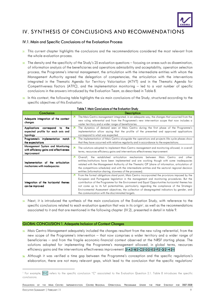

# IV. SYNTHESIS OF CONCLUSIONS AND RECOMMENDATIONS

#### IV.1. Main and Specific Conclusions of the Evaluation Process

- 31. This current chapter highlights the conclusions and the recommendations considered the most relevant from the whole evaluation process.
- $32.$  The density and the specificity of the Study's 25 evaluation questions focusing on areas such as dissemination, of information analysis of the beneficiaries and operations admissibility and acceptability, operation selection process, the Programme's internal management, the articulation with the intermediate entities with whom the Management Authority agreed the delegation of competencies, the articulation with the interventions integrated in the Thematic Agenda for Territory Valorisation (ATVT) and in the Thematic Agenda for Competitiveness Factors (ATFC), and the implementation monitoring – led to a vast number of specific conclusions in the answers introduced by the Evaluation Team, as described in Table 8.
- 33. In this context, the following table highlights the six main conclusions of the Study, structured according to the specific objectives of this Evaluation.

| Conclusion                                                                                 | <b>Description</b>                                                                                                                                                                                                                                                                                                                                                                                                                                                                                                                                          |
|--------------------------------------------------------------------------------------------|-------------------------------------------------------------------------------------------------------------------------------------------------------------------------------------------------------------------------------------------------------------------------------------------------------------------------------------------------------------------------------------------------------------------------------------------------------------------------------------------------------------------------------------------------------------|
| Adequate integration of the context<br>changes                                             | The Mais Centro management integrated, in an adequate way, the changes that occurred from the<br>7<br>new ruling referential and from the Programme's new intervention scope that now includes a<br>vaster territory and a wider range of beneficiaries.                                                                                                                                                                                                                                                                                                    |
| the<br>Applications correspond<br>to<br>expected profile for each axis and<br>typology     | я<br>The dynamics of demand seen at Mais Centro during the first phase of the Programme's<br>implementation allow saying that the profile of the presented and approved applications<br>correspond to what was expected.                                                                                                                                                                                                                                                                                                                                    |
| Programme's implementation match<br>the expectations                                       | 7<br>The implementation of Mais Centro alongside the operations and projects life cycle phases show<br>that they have occurred with relative regularity and in accordance to the expectations.                                                                                                                                                                                                                                                                                                                                                              |
| Management System and Monitoring<br>with efficiency gains and effectiveness<br>improvement | я<br>The solutions adopted to implement Mais Centro management and monitoring allowed, in overall<br>terms, resources efficiency gains and interventions effectiveness improvement.                                                                                                                                                                                                                                                                                                                                                                         |
| Implementation of the articulation<br>mechanisms with inadequacies                         | 7<br>established articulation mechanisms between Mais Centro and other<br>Overall, the<br>entities/institutions have been implemented and are working though with some inadequacies<br>related with the Management Authority of the Thematic OP (share of information, articulation of<br>the competitions schedules) and with the intermediate entities and the sectoral regional decision<br>entities (information sharing, slowness of the processes).                                                                                                   |
| Integration of the horizontal themes<br>can be improved                                    | 7<br>From the formal obligations stand point, Mais Centro incorporated the provisions imposed by the<br>European and Portuguese legislation in the management and monitoring procedures. But the<br>contribution of the Programme for the Environment and Equal Opportunities horizontal themes has<br>not come up to its full potentialities, particularly regarding the compliance of the Strategic<br>Environmental Assessment objectives, the collection of desegregated indicators by gender, and<br>the communication with the discriminated targets. |

#### Table 7. Main Conclusions of the Evaluation Study

34. Next, it is introduced the synthesis of the main conclusions of the Evaluation Study, with reference to the specific conclusions related to each evaluation question that was in its origin<sup>1</sup>, as well as the recommendations associated to it and that are mentioned in the following chapter (IV.2), presented in detail in table 9.

#### GLOBAL CONCLUSION 1. Adequate Inclusion of Context Changes

- 35. Mais Centro Management adequately included the changes resultant from the new ruling referential, from the new scope of the Programme's intervention – that now comprises a wider territory and a wider range of beneficiaries – and from the fragile economic-financial context observed at the NRSF starting phase. The solutions adopted for implementing the Programme's management allowed, in global terms, resources efficiency gains and the interventions effectiveness improvement. 21A 21B 21C 21D 21E 21F 21G 21H 21I
- 36. Although it was verified a time gap between the Programme's conception and the specific regulations's elaboration, there are not many relevant gaps, which lead to the conclusion that the specific regulations'

<sup>&</sup>lt;sup>1</sup> For example, 21C refers to the specific conclusion "C" associated to the Evaluation Question 2.1. Table 8 introduces the specific conclusions.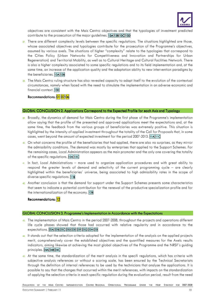

objectives are consistent with the Mais Centro objectives and that the typologies of investment predicted contribute to the prosecution of the major guidelines. 13A 13B 13C 13D

- 37. There are different complexity levels between the specific regulations. The situations highlighted are those, whose associated objectives and typologies contribute for the prosecution of the Programme's objectives, assumed by various axels. The situations of higher "complexity" relate to the typologies that correspond to the Cities Policy (Urban Networks for Competitiveness and Innovation and Partnerships for Urban Regeneration) and Territorial Mobility, as well as to Cultural Heritage and Cultural Facilities Network. There is also a higher complexity associated to some specific regulations and to its field implementation and, at the same time, an increase of the application quality and the adaptation ability to new intervention paradigms by the beneficiaries. 13A 13B
- 38. The Mais Centro ruling structure has also revealed capacity to adapt itself to the evolution of the contextual circumstances, namely when faced with the need to stimulate the implementation in an adverse economic and financial context. 13D

Recommendations: <mark>01 02 06</mark>

#### GLOBAL CONCLUSION 2. Applications Correspond to the Expected Profile for each Axis and Typology

- 39. Broadly, the dynamics of demand for Mais Centro during the first phase of the Programme's implementation allow saying that the profile of the presented and approved applications meet the expectations and, at the same time, the feedback from the various groups of beneficiaries was extremely positive. This situation is highlighted by the intensity of applied investment throughout the totality of the Call for Proposals that, in some cases, went beyond the amount of expected investment for the period 2007-2013. 11A11C
- 40. On what concerns the profile of the beneficiaries that had applied, there are also no surprises, as they mirror the admissibility conditions. The demand was mostly by enterprises that applied to the Support Schemes. For the remaining cases, Local Administration appears as the main promoter and the only one covering the totality of the specific regulations. 12A 12C
- 41. In fact, Local Administrations more used to organize application procedures and with great ability to respond the greater levels of demand and selectivity of the current programming cycle – are clearly highlighted within the beneficiaries´ universe, being associated to high admissibility rates in the scope of diverse specific regulations. 11B
- 42. Another conclusion is that the demand for support under the Support Schemes presents some characteristics that seem to indicate a potential contribution for the renewal of the productive specialization profile and for the internationalization of the economy. 12B

Recommendations: 12

#### GLOBAL CONCLUSION 3. Programme's Implementation in Accordance with the Expectations

- 43. The implementation of Mais Centro in the period 2007-2008, throughout the projects and operations different life cycle phases showed that those had occurred with relative regularity and in accordance to the expectations. 22A 22B 22C 22D 22E 22F 22G 22H 22I
- 44. It stands out that the selection criteria adopted for the implementation of the analysis on the applied projects merit, comprehensively cover the established objectives and the quantified measures for the Axels results indicators, aiming likewise at achieving the most global objectives of the Programme and the NRSF´s guiding principles. 24A 24B 24C
- 45. At the same time, the standardization of the merit analysis in the specifi regulations, which has criteria with subjective analysis references or without a scoring scale, has been ensured by the Technical Secretariats through the definition of internal references to be used by the technicians that analyse the applications. It is possible to say that the changes that occurred within the merit references, with impacts on the standardization of applying the selection criteria in each specific regulation during the evaluation period, result from the need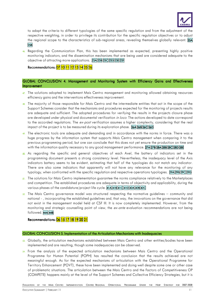

to adapt the criteria to different typologies of the same specific regulation and from the adjustment of the respective weighting, in order to privilege its contribution for the specific regulation objectives or to adjust the regional scope to the characteristics of sub-regional areas, revealing themselves globally relevant. 25A 25B

46. Regarding the Communication Plan, this has been implemented as expected, presenting highly positive monitoring indicators, and the dissemination mechanisms that are being used are considered adequate to the objective of attracting more applications. . 23A 23B 23C 23D 23E 23F

Recommendations: 07 10 11 12 13 14 25 26

#### GLOBAL CONCLUSION 4. Management and Monitoring System with Efficiency Gains and Effectiveness **Improvement**

- 47. The solutions adopted to implement Mais Centro management and monitoring allowed obtaining resources efficiency gains and the interventions effectiveness improvement.
- 48. The majority of those responsible for Mais Centro and the intermediate entities that act in the scope of the Support Schemes consider that the mechanisms and procedures expected for the monitoring of projects results are adequate and sufficient. The adopted procedures for verifying the results in the projects closure phase are developed under physical and documental verification in loco. The actions developed to date correspond to the accorded regulations. The  $ex\text{-}post$  verification assumes a higher complexity, considering that the real impact of the project is to be measured during its exploration phase. 26A 26B 26C 26D
- 49. The electronic tools are adequate and demanding and in accordance with the norms in force. There was a huge progress by the information system that supports Mais Centro management when comparing it to the previous programming period, but one can conclude that this does not yet ensure the production on time and with the information quality necessary to any good management performance. 27A 27B 28A 28B 28C 28D 28E
- 50. As regarding the specific and general objectives of each Axel, the battery of indicators set in the programming document presents a strong consistency level. Nevertheless, the inadequacy level of the Axis indicators battery seems to be evident, estimating that half of the typologies do not match any indicator. There are also some indicators that apparently will not have any relevance for the monitoring of any typology, when confronted with the specific regulation and respective operations typologies. 29A 29B 29C29D
- 51. The solutions for Mais Centro implementation guarantee the norms compliance relatively to the Marketplaces and competition. The established procedures are adequate in terms of objectivity and applicability, during the various phases of the candidature/project life cycle. 41A 41B 41C 41D 42A 42B 42C
- $52$ . The Mais Centro governance model was structured respecting the normative guidelines community and national - , incorporating the established guidelines and, that way, the innovations on the governance that did not exist in the management model held at CSF III. It is now completely implemented. However, from the monitoring and strategic counselling point of view, the ex-ante evaluation recommendations are not being followed. 44A 44B

Recommendations: 06 15 17 18 19 20 21

#### GLOBAL CONCLUSION 5. Implementation of the Articulation Mechanisms with Inadequacies

- 53. Globally, the articulation mechanisms established between Mais Centro and other entities/bodies have been implemented and are resulting, though some inadequacies can be observed.
- 54. From the analysis of the expected articulation mechanisms between Mais Centro and the Operational Programme for Human Potential (POPH) has resulted the conclusion that the results achieved are not meaningful enough. As for the expected mechanisms of articulation with the Operational Programme for Territory Enhancement (POVT), these have been implemented and doing well despite some one or other case of problematic situations. The articulation between the Mais Centro and the Factors of Competitiveness OP (COMPETE) happens mainly at the level of the Support Schemes and Collective Efficiency Strategies, but it is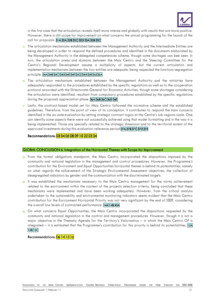

in the first case that the articulation reveals itself more intense and globally with results that are more positive. However, there is still scope for improvement on what concerns the annual programming for the launch of the call for proposals. 31A 32A 32B 32C 32D 33A 33B 33C

- 55. The articulation mechanisms established between the Management Authority and the Intermediate Entities are being developed in order to respond the defined procedures and identified in the documents elaborated by the Management Authority in the delegated competencies scheme, though some shortages can bee seen. In turn, the articulation areas and domains between the Mais Centro and the Steering Committee for the Centro's Regional Development assume a multiplicity of aspects, but the current articulation and implementation mechanisms between the two entities are adequate, being respected the functions segregation principle. 34A 34B 34C 34D 34E 34F 34G 34H 34I 34J 35A
- 56. The articulation mechanisms established between the Management Authority and the ministries have adequately responded to the procedures established by the specific regulations as well as to the cooperation protocol accorded with the Directorate-General for Economic Activities, though some shortages considering the articulation were identified, resultant from compulsory procedures established by the specific regulations during the proposals appreciation phase. 36A 36B 36C 36D 36E
- 57. Lastly, the contract-based model set for Mais Centro followed the normative scheme and the established guidelines. Therefore, from the point of view of its conception, it contributes to respond the main concerns identified in the ex-ante evaluation by setting strategic contract logics at the Centre's sub-regions scale. One can identify some aspects there were not successfully achieved using that model formatting and in the way it is being implemented. Those are specially related to the strategic dimension and to the territorial extent of the approved investments during this evaluation reference period 37A 37B 37C 37D 37E

Recommendations: 03 04 05 08 09 10 22 23 24

#### GLOBAL CONCLUSION 6. Integration of the Horizontal Themes with Scope for Improvement

- 58. From the formal obligations standpoint, the Mais Centro incorporated the dispositions imposed by the community and national legislation in the management and control procedures. However, the Programme's contribution for the Environment and Equal Opportunities horizontal themes is behind its potentialities, namely on what regards the achievement of the Strategic Environmental Assessment objectives, the collection of desegregated indicators by gender and the communication with the discriminated targets.
- 59. It was established the mechanisms necessary to the Mais Centro management for the norms achievement related to the environment within the context of the projects selection criteria, being concluded that these mechanisms were implemented and have been working adequately. However, from the critical analysis undertaken to the sustainability and environmental monitoring indicators seems evident that the Mais Centro contribution for the Environment Horizontal Priority was not very significant by the end of 2009, considering the overall low levels of contracted performance. 14A|14B|43A
- 60. On what concerns Equal Opportunities, the Mais Centro incorporated the dispositions requested by the community and national legislation in the control and management procedures. However, though it is not a major objective in the Thematic Agenda for the Territory's Valorisation – in which the Mais Centro OP is integrated – it is estimated that the Programme's contribution for this priority is behind its potentialities. 15A 15B<sub>15C</sub>

#### Recommendations: <mark>06</mark>141516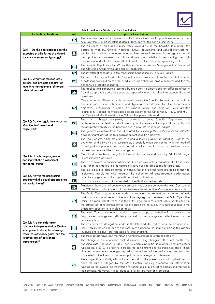

| <b>Table 1. Evaluation Study Specific Conclusions</b> |                         |                                                                                                                                                                               |  |
|-------------------------------------------------------|-------------------------|-------------------------------------------------------------------------------------------------------------------------------------------------------------------------------|--|
| <b>Evaluation Questions</b>                           | Ref.                    | <b>Specific Conclusions</b>                                                                                                                                                   |  |
|                                                       | 11A                     | The investment amount competed for the various Calls for Proposals exceeded in four                                                                                           |  |
|                                                       |                         | Axels out the five, the investment amount foreseen for the period 2007-2010.                                                                                                  |  |
|                                                       |                         | The existence of high admissibility rates (over 80%) in the Specific Regulations for                                                                                          |  |
| QA1.1: Do the applications meet the                   |                         | Territorial Mobility, Cultural Heritage, SAMA, Equipments, and School Network Re-                                                                                             |  |
| expected profile for each axis and                    | 11B                     | qualification is tributary because the autarchies are well prepared in the organization of                                                                                    |  |
| for each intervention typology?                       |                         | the application processes and have shown great ability in responding the high                                                                                                 |  |
|                                                       |                         | requirement and selectivity levels that characterize the current programming cycle.                                                                                           |  |
|                                                       | $\overline{\mathsf{H}}$ | The Specific Regulations for Water Urban Cycle and Active Management of Protected                                                                                             |  |
|                                                       |                         | and Classified Areas reveal admissibility problems.                                                                                                                           |  |
|                                                       | <b>12A</b>              | The investment candidate to the Programme headed mainly to Axels 1 and 3.                                                                                                     |  |
| QA 1.2: What was the measures,                        |                         | The search for support under the Support Schemes has some characteristics that indicate                                                                                       |  |
| actions, and projects penetration                     | 12B                     | a potential contribution for the productive specialization profile renewal and for the                                                                                        |  |
| level into the recipients' different                  |                         | economy's internationalization.                                                                                                                                               |  |
| relevant sectors?                                     |                         | The applications structure presented by promoter typology does not differ significantly                                                                                       |  |
|                                                       | 12<                     | from the approved operations structures, specially when it is taken into account the total                                                                                    |  |
|                                                       |                         | investment.                                                                                                                                                                   |  |
|                                                       |                         | One can verify different complexity levels among the Specific Regulations, particularly                                                                                       |  |
|                                                       |                         | the situations whose objectives and typologies contribute for the Programme's                                                                                                 |  |
|                                                       | 13A                     | objectives prosecution assumed by various axels. The situations with greater                                                                                                  |  |
|                                                       |                         | "complexity" regard the typologies correspondent to the Cities Policy - RUCI and PRU -                                                                                        |  |
|                                                       |                         | and Territorial Mobility and to the Cultural Equipments Network.                                                                                                              |  |
| QA 1.3: Do the regulations meet the                   |                         | There is a bigger complexity associated to some Specific Regulations and                                                                                                      |  |
| Mais Centro's needs and                               | 13B                     | implementation on field and, simultaneously, an increase on the applications quality and                                                                                      |  |
| objectives?                                           |                         | the adaptation ability by the beneficiaries to new intervention paradigms.                                                                                                    |  |
|                                                       | 13 <sub>2</sub>         | The general objective from Axel 4 related to "minoring the existing pollution effects"                                                                                        |  |
|                                                       |                         | does not match any of the four correspondent specific objectives.                                                                                                             |  |
|                                                       |                         | The Mais Centro ruling structure revealed a learning ability in adapting itself to the                                                                                        |  |
|                                                       | <b>13D</b>              | evolution of the involving circumstances, especially when confronted with the need of                                                                                         |  |
|                                                       |                         | fostering the implementation in a period in which the financial and socioeconomic<br>context has revealed itself disadvantageous.                                             |  |
|                                                       |                         | Mais Centro has been trying to follow all the recommendations by NRSF's Strategic                                                                                             |  |
| QA 1.4: How is the programme                          | 14A                     | Environmental Assessment.                                                                                                                                                     |  |
| dealing with the environment                          |                         | There are several recommendations that have no available information at all and some                                                                                          |  |
| horizontal theme?                                     | 14B                     | others that their monitoring indicators still have considerable scope for progress.                                                                                           |  |
|                                                       |                         | There are positive aspects, formal in nature, that in practical terms are being difficult to                                                                                  |  |
|                                                       | 15A                     | implement, namely on what regards the collection of desegregated performance                                                                                                  |  |
| QA 1.5: How is the programme                          |                         | indicators by gender or the applications criteria validation.                                                                                                                 |  |
| dealing with the equal opportunities                  | 15B                     | Lack of communication actions headed to the discriminated targets.                                                                                                            |  |
| horizontal theme?                                     |                         | Practically there are null complementarities in this domain between the Mais Centro and                                                                                       |  |
|                                                       | 15<                     | the POPH due to a lack of articulation between the respective Management Authorities.                                                                                         |  |
|                                                       |                         | The Mais Centro governance model reproduces the regulations in force defined,                                                                                                 |  |
|                                                       |                         | particularly on what regards the functions segregation between the MAs Operative                                                                                              |  |
|                                                       | 21A                     | Units. This requirement, which is in the NRSF's governance model, limits the flexibility in                                                                                   |  |
|                                                       |                         | the attribution of resources during the Programme's life cycle, with consequences in the                                                                                      |  |
|                                                       |                         | efficiency reduction in its implementation.                                                                                                                                   |  |
|                                                       |                         | The Mais Centro governance model stresses a scope of flexibility for promoting the                                                                                            |  |
|                                                       | 21B                     | Programme's management efficiency, as well as the management effectiveness of the                                                                                             |  |
| QA 2.1: Are the undertaken                            |                         | community funds                                                                                                                                                               |  |
| solutions to implement Mais Centro                    |                         | The competencies delegation model in the Intermediate Entities seems to be adequate,                                                                                          |  |
| management adequate, allowing                         | 21 <sup>°</sup>         | inclusively by the competencies and resources exchange that it allows among the various                                                                                       |  |
| resources efficiency gains, and the                   |                         | involved entities, but it still has scope for improvement.                                                                                                                    |  |
| interventions effectiveness                           | 21D                     | The main actors have seen the NRSF's ruling universe as an extra complexity.                                                                                                  |  |
| improvement?                                          |                         | The change in the economic context implied ruling changes with effect on the co-                                                                                              |  |
|                                                       | 21E                     | financing rates increase, in 2009, and in certain Specific Regulations and promoters                                                                                          |  |
|                                                       |                         | typologies, in 2010, in order to increase the commitment and the implementation. These                                                                                        |  |
|                                                       |                         | changes impose new challenges regarding the upkeep of the co-financed medium rates                                                                                            |  |
|                                                       |                         | associated to the Axels and to the output and outcome goals achievement.                                                                                                      |  |
|                                                       |                         | The competition modality with a limited period for the presentations of applications has                                                                                      |  |
|                                                       | 21F                     | been the one privileged by the Mais Centro, seeming adequate for intervention<br>typologies that evolve the innovation fostering, a multiplicity of recipients and that has a |  |
|                                                       |                         | high demand. However, it is not adequate for all intervention typologies.                                                                                                     |  |
|                                                       |                         |                                                                                                                                                                               |  |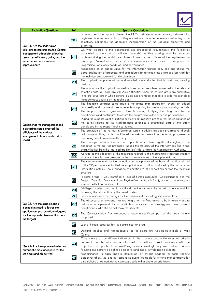

| <b>Evaluation Questions</b>                                                                                                                               | Ref. | <b>Specific Conclusions</b>                                                                                                                                                                                                                                                                                                                                                                                |
|-----------------------------------------------------------------------------------------------------------------------------------------------------------|------|------------------------------------------------------------------------------------------------------------------------------------------------------------------------------------------------------------------------------------------------------------------------------------------------------------------------------------------------------------------------------------------------------------|
| QA 2.1: Are the undertaken                                                                                                                                | 21G  | In the scope of the support schemes, the AAC constitutes a powerful ruling instrument for<br>registered intense demand but, as they are set in national terms, are not reflecting in the<br>selectivity conditions the adequate incorporation of the regional objectives and<br>priorities.                                                                                                                |
| solutions to implement Mais Centro<br>management adequate, allowing<br>resources efficiency gains, and the<br>interventions effectiveness<br>improvement? | 21H  | On what relates to the documental and procedural requirements, the formalities<br>associated to the contract fulfilment "absorb" the time sparing, and the resources<br>achieved during the candidature phase, allowed by the softness of the requirements in<br>this stage. Nevertheless, the contracts formalisation contributes to strengthen the<br>Programme's efficiency conditions and performance. |
|                                                                                                                                                           | 211  | Recognized as an added value for the information transparency and operations, the<br>dematerialisation of processes and procedures do not mean less effort and less work for<br>the technical structure and for the promoters.                                                                                                                                                                             |
|                                                                                                                                                           | 22A  | The applications presentations and submission are simpler that in past programming<br>periods.                                                                                                                                                                                                                                                                                                             |
|                                                                                                                                                           | 22B  | The analysis on the applications merit is based on score tables connected to the relevant<br>selection criteria. There are still some difficulties when the criteria are more qualitative<br>in nature, situations in which general guidelines are made available in order to provide a<br>homogeneous analysis by the technicians.                                                                        |
|                                                                                                                                                           | 22C  | The financing contract celebration is the phase that apparently reveals an added<br>complexity and documental requirements comparing to previous programming periods.<br>The supports formal agreement allow, however, clarifying the obligations by the<br>beneficiaries and contributes to ensure the programme's efficiency and performance.                                                            |
| Qa 2.2: Has the management and                                                                                                                            | 22D  | During the expenses authorizations and payment requests procedures, the compliance of<br>the norms related to the Marketplaces consumes a substantial part of the effort<br>developed by the support technical teams.                                                                                                                                                                                      |
| monitoring system ensured the<br>efficiency of the various<br>management circuits and control                                                             | 22E  | The provision of the various information system modules has been progressive, though<br>not always on time, and has facilitated the tasks to it associated, ensuring progresses in<br>the management processes efficiency.                                                                                                                                                                                 |
| tools?                                                                                                                                                    | 22F  | The average decision time on the applications has been significantly higher to the<br>expected in the call for proposals though the majority of the interviewees find it too<br>short, whether from the Intermediate Entities' side, as from the Management Authority.                                                                                                                                     |
|                                                                                                                                                           | 22G  | As regards the adequacy of the resources related to the Programme's technical support                                                                                                                                                                                                                                                                                                                      |
|                                                                                                                                                           |      | structure, there is some pressure on them at some stages of the implementation.<br>The new requirements for the collection and compilation of the base information related                                                                                                                                                                                                                                 |
|                                                                                                                                                           | 22H  | to the OP performances implied the output standardization produced by the autonomous<br>information systems. The information compilation for the report has burden the technical<br>structure.                                                                                                                                                                                                             |
|                                                                                                                                                           | 221  | In some areas, it was identified a lack of human resources (Communication and the<br>Projects Team for Documental and Physical Verification in loco), as well as legal support<br>specialized in Internal Control.                                                                                                                                                                                         |
|                                                                                                                                                           | 23A  | Privilege for electronic media for the dissemination near the target audiences and for<br>accessing the information by the beneficiaries.                                                                                                                                                                                                                                                                  |
|                                                                                                                                                           | 23B  | Financial resources are enough for the communication strategy implementation.                                                                                                                                                                                                                                                                                                                              |
| QA 2.3: Are the dissemination<br>mechanisms used to foster the                                                                                            | 23<  | The absence of a newsletter for too long after the Programme to be in force $-$ due to<br>delays in the implementation – constitutes a communication strategy weakness for many<br>beneficiaries, who still do not know that it exists.                                                                                                                                                                    |
| applications presentation adequate<br>for the supports dissemination near<br>the target?                                                                  | 23D  | The Communication Plan exceeded already a significant part of the goals initially<br>proposed.                                                                                                                                                                                                                                                                                                             |
|                                                                                                                                                           | 23E  | Lack of human resources for the communication area.                                                                                                                                                                                                                                                                                                                                                        |
|                                                                                                                                                           | 23F  | Demand (applications) not adequate for the operations typologies eligible at Mais<br>Centro.                                                                                                                                                                                                                                                                                                               |
| QA 2.4: Are the approved selection<br>criteria the most adequate for the                                                                                  | 24A  | Co-existence of too different situations in the structure and in the selection criteria<br>nature. In parallel with transversal criteria and without direct association with the<br>objectives and goals of the Axel/Programme coexist globally well defined criteria<br>focusing and comprising defined objectives and goals, in wide raging aspects.                                                     |
| set goals and objectives?                                                                                                                                 | 24B  | Predominance, in each Specific Regulation, of criteria headed for some specific<br>objectives of an Axel and corresponding quantified goals for criteria that contribute for<br>a multiplicity of objectives/indicators, globally enhancing a criteria focus.                                                                                                                                              |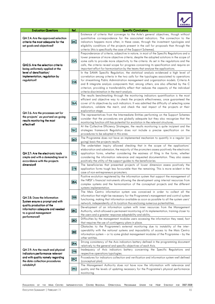

| <b>Evaluation Questions</b>                                                                                          | Ref.            | <b>Specific Conclusions</b>                                                                                                                                                                                                                                                                                                                                                                                                                                                                                  |
|----------------------------------------------------------------------------------------------------------------------|-----------------|--------------------------------------------------------------------------------------------------------------------------------------------------------------------------------------------------------------------------------------------------------------------------------------------------------------------------------------------------------------------------------------------------------------------------------------------------------------------------------------------------------------|
| QA 2.4: Are the approved selection<br>criteria the most adequate for the<br>set goals and objectives?                | 24C             | Existence of criteria that converge to the Axle's general objectives, though without<br>quantitative correspondence for the associated indicators. The connection to the<br>indicators happens more often, in these cases, through the investment typologies and<br>eligibility conditions of the projects present in the call for proposals than through the<br>criteria (this is specifically the case of the Support Schemes).                                                                            |
| QA2.5: Are the selection criteria<br>being uniformely applied at the                                                 | 25A             | Preponderance of criteria, subjective in nature, in most of the Specific Regulations and a<br>lower presence of more objective criteria, despite the adopted solutions in the scope of<br>some calls to provide more objectivity to the criteria. As set in the regulations and the<br>calls, the criteria reveal scope for progress concerning its specification and require an<br>important effort for harmonisation by the teams that analyse the applications.                                           |
| level of densification/<br>implementation, regulation by<br>regulation?                                              | 25B             | In the SAMA Specific Regulation, the statistical analysis evidenced a high level of<br>correlation among criteria in the two calls for the typologies associated to operations<br>for streamlining Public Administration management and organization models. Criteria A<br>and B integrate analysis components that, among others, are also affected by the C<br>criterion, providing a transferability effect that reduces the capacity of the individual<br>criteria discrimination in the merit analysis. |
|                                                                                                                      | 26A             | The results benchmarking through the monitoring indicators quantification is the most<br>efficient and objective way to check the projects effectiveness, once guaranteed the<br>cover of its objectives by such indicators. It was admitted the difficulty of selecting some<br>indicators, validate the merit, and check the real impact of the projects at their<br>exploration stage.                                                                                                                    |
| QA 2.6: Are the processes set for<br>the projects' ex-post and on-going<br>results monitoring the most<br>effective? | 26B             | The representatives from the Intermediate Entities performing on the Support Schemes<br>consider that the procedures are globally adequate but they also recognize that the<br>monitoring function still has potential for evolution in the relevant structures.                                                                                                                                                                                                                                             |
|                                                                                                                      | 26<             | At the Collective Efficiency Strategies, the results monitoring is quite incipient and the<br>strategies framework Regulation does not include a precise specification on the<br>procedures to be adopted in this area.                                                                                                                                                                                                                                                                                      |
|                                                                                                                      | 26D             | The Programme does not have an implemented mechanism to quantify in a regular (on<br>going) basis the projects results.                                                                                                                                                                                                                                                                                                                                                                                      |
| QA 2.7: Are the electronic tools<br>simple and with a demanding level in<br>accordance with the projects             | 27A             | The undertaken inquiry allowed checking that in the scope of the applications'<br>elaboration and submission, the majority of the promoters assess positively the electronic<br>application forms, whether considering the easiness of filing in the forms, whether<br>considering the information relevance and requested documentation. They also assess<br>positively the utility of the support guides to the beneficiaries.                                                                             |
| dimension?                                                                                                           | 27B             | The beneficiaries that presented projects of lower dimension assess positively the<br>application forms tough less favourable than the remaining. This is more evident in the<br>case of non-entrepreneurs promoters.                                                                                                                                                                                                                                                                                        |
|                                                                                                                      | 28A             | Positive evolution registered by the information system that support the management of<br>the NRSF's financial instruments allowing the development using internal resources from<br>complex systems and the harmonisation of the conceptual projects and the different<br>systems implementation.                                                                                                                                                                                                           |
| QA 2.8: Does the Information<br>System ensure a prompt and with                                                      | 28B             | The Mais Centro information system was conceived in order to collect all the<br>information that might be necessary for the Programme's management and control system<br>functioning, making that information available as soon as possible to all the system users'<br>network, independently of its location thus enclosing numerous potentialities.                                                                                                                                                       |
| quality production of the<br>information adequate and needed<br>to a good management                                 | 28 <sub>C</sub> | Development of an information system with inner resources from the Management<br>Authority, which allowed a permanent monitoring of its implementation, training closer to<br>the users and a greater response adaptability and ability.                                                                                                                                                                                                                                                                     |
| performance?                                                                                                         | 28D             | Difficulties by the management modules users accessing the information they need, fact<br>that requires the use of contingency plans in place.                                                                                                                                                                                                                                                                                                                                                               |
|                                                                                                                      | 28E             | Obstacles to the Programme's external monitoring due to instability of the inter-<br>operability with the national systems and impossibility of access to the Mais Centro<br>information system $-$ or to some global management modules of the Programme $-$ by the<br>other entities.                                                                                                                                                                                                                      |
|                                                                                                                      | 29A             | Strong consistency of the Axis indicators battery defined in the programming document<br>relatively to the general and specific objectives of each Axis.                                                                                                                                                                                                                                                                                                                                                     |
| QA 2.9: Are the result and physical<br>indicators performance relevant                                               | 29B             | Inadequacy of Axis indicators battery concerning the Specific Regulations and<br>respective operations typologies.                                                                                                                                                                                                                                                                                                                                                                                           |
| and with quality namely regarding<br>the data collection procedures                                                  | 29C             | Procedures for indicators collection and verification and information system well defined<br>(conceptual plan).                                                                                                                                                                                                                                                                                                                                                                                              |
| reliability?                                                                                                         | 29D             | The Management Authority does not have now the information with relevance and<br>quality and the levels of updating necessary for the Programme's physical performance<br>monitoring.                                                                                                                                                                                                                                                                                                                        |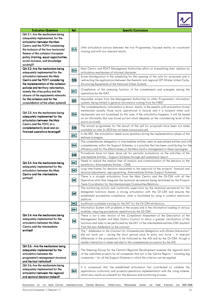

| <b>Evaluation Questions</b>                                     | Ref.       | <b>Specific Conclusions</b>                                                                 |
|-----------------------------------------------------------------|------------|---------------------------------------------------------------------------------------------|
| QA 3.1: Are the mechanisms being                                |            |                                                                                             |
| adequately implemented, for the                                 |            |                                                                                             |
| articulation between the Mais                                   |            |                                                                                             |
| Centro and the POPH considering                                 |            |                                                                                             |
| the inclusion of the four horizontal                            | 31A        | Little articulation actions between the two Programmes, focused mainly on vocational        |
| themes of the cohesion European                                 |            | training and with low relevant results.                                                     |
| policy (training, equal opportunities,                          |            |                                                                                             |
|                                                                 |            |                                                                                             |
| social inclusion, and knowledge                                 |            |                                                                                             |
| society)?                                                       |            |                                                                                             |
| QA 3.2: Are the mechanisms being                                | 32A        | Mais Centro and POVT Management Authorities effort at streamlining their relation by        |
| adequately implemented for the                                  |            | articulation mechanisms of informal character.                                              |
| articulation between the Mais                                   |            | Some disintegration in the scheduling for the opening of the calls for proposals and in     |
| Centro and the POVT considering                                 | 32B        | redirecting the applications between the thematic and regional OP (Water Urban Cycle,       |
| the implementation of the cohesion                              |            | Structuring Equipments of the National Urban System).                                       |
| policies and territory valorisation,                            |            | Compliance of the assessing function of the complements and synergies among the             |
| namely the cities policy and the                                | 32<        | operations by the GAT.                                                                      |
| closure of the equipments networks                              |            |                                                                                             |
| for the cohesion and for the                                    | 32E        | Impossible access from the Management Authorities to other Programme's information          |
| consolidation of the urban systems?                             |            | systems, being limited to general information coming from the NRSF.                         |
|                                                                 |            | The complementarily/ articulation is shown, mainly, in the aspects with articulation formal |
| QA 3.3: Are the mechanisms being                                |            | mechanisms (usually those more operational in nature) and it is incipient when such         |
|                                                                 | 33A        | mechanisms are not formalised (in this case, if the articulation happens, it will be based  |
| adequately implemented for the<br>articulation between the Mais |            | on an informality that was found out but which depends on the volunteering level of the     |
| Centro and the POFC at a                                        |            | actors evolved).                                                                            |
| complementarily level and co-                                   | 33B        | The annual programmes for the launch of the call for proposals have been not made           |
|                                                                 |            | available on time (in 2010 has not been announced yet).                                     |
| financed operations leverage?                                   | 33<        | In the EEC, the articulation needs more dynamics during the implementation phase of the     |
|                                                                 |            | defined strategies.                                                                         |
|                                                                 |            | The competencies delegation in intermediate entities, seen as specialised entities and with |
|                                                                 | 34A        | competencies within the Support Schemes, is a practise that has been contributing for the   |
|                                                                 |            | efficiency and for the effectiveness of the Mais Centro management in these typologies.     |
|                                                                 |            | Procedures have not been done yet for periodic evaluations on the activities of the         |
|                                                                 | 34B        | intermediate entities - Support Schemes through self-assessment report.                     |
|                                                                 |            | Need to reduce the medium time of analysis and communication of the decision to the         |
| QA 3.4: Are the mechanisms being                                | 34C        | beneficiary (Intermediate Entities - CIM).                                                  |
| adequately implemented for the                                  |            | Long time-frames for decision associated to the approval of the projects' financial and     |
| articulation between the Mais<br>Centro and the intermediate    | <b>34D</b> | physical adjustments/reprogramming. (Intermediate Entities-Support Schemes).                |
| entities?                                                       |            | There is a straight articulation from the Mais Centro and the OI-CIM with all the           |
|                                                                 | 34E        | Operative Units that integrate the technical secretariat being facilitated by the Projects  |
|                                                                 |            | Team Coordinator for the Intermunicipal Communities Relations.                              |
|                                                                 |            | The monitoring activity and conformity supervision by the technical secretariat for the     |
|                                                                 |            | delegated functions means a strong articulation with the OI-CIM and ensures the             |
|                                                                 | 34F        | established procedures compliance, what is facilitated by using a common electronic         |
|                                                                 |            | platform.                                                                                   |
|                                                                 | 34G        | Insufficient available training for the EAT for the OI-CIM attributions.                    |
|                                                                 |            | Information System with problems in the access and in the information loading in various    |
|                                                                 | 34H        | modules, requiring procedures repetitions by the OI-CIM.                                    |
| QA 3.4: Are the mechanisms being                                |            | There is not a new version of the Compliance Assessment of the Description of the           |
| adequately implemented for the                                  |            | Management System and Mais Centro Control to allow a greater clarification of the           |
| articulation between the Mais                                   | 341        | functions and tasks to be performed by the EAT of the intermediate entities-CIM resultant   |
| Centro and the intermediate                                     |            | from the new Addendum to the contract.                                                      |
| entities?                                                       |            | The " Addendum to the Contract for Competencies Delegation with Global Subvention"          |
|                                                                 |            | did not work out - during the short period since its entry into force -, in relevant        |
|                                                                 | 34J        | differences in the procedures to be followed by the AG and by the OI-CIM, though a          |
|                                                                 |            | smaller interaction is observed due to the competencies avocation by the AG.                |
| QA 3.5: : Are the mechanisms being                              |            |                                                                                             |
| adequately implemented for the                                  |            | The Steering Group for the Centre's Regional Development assesses the regional merit        |
| articulation between the                                        | 35A        | of the submitted projects by all companies that act in the Centre Region - including big    |
| programme's management structure                                |            | companies – for all the Support Schemes in which the criterion can be applied.              |
| and the host institution?                                       |            |                                                                                             |
| QA 3.6: Are the mechanisms being                                |            |                                                                                             |
| adequately implemented for the                                  |            | It is consensual that the established articulation has contributed to validate the          |
| articulation between the regional                               | 36A        | applications conformity and projects/operations implementation with the ruling scheme,      |
| and sectoral decision-makers?                                   |            | which also results as a benefit for the decision and monitoring process.                    |
|                                                                 |            |                                                                                             |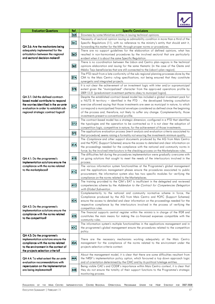

| <b>Evaluation Questions</b>                                                                                                                                                                     | Ref.                                                                                                                                                                                                       | <b>Specific Conclusions</b>                                                                                                                                                                                                                                                                                                                                                                                                                                                                                    |  |  |  |
|-------------------------------------------------------------------------------------------------------------------------------------------------------------------------------------------------|------------------------------------------------------------------------------------------------------------------------------------------------------------------------------------------------------------|----------------------------------------------------------------------------------------------------------------------------------------------------------------------------------------------------------------------------------------------------------------------------------------------------------------------------------------------------------------------------------------------------------------------------------------------------------------------------------------------------------------|--|--|--|
|                                                                                                                                                                                                 | 36B                                                                                                                                                                                                        | Slowness by some Ministries entities in issuing technical opinions.                                                                                                                                                                                                                                                                                                                                                                                                                                            |  |  |  |
| QA 3.6: Are the mechanisms being<br>adequately implemented for the<br>articulation between the regional<br>and sectoral decision-makers?                                                        | 36<                                                                                                                                                                                                        | Necessity of sectoral opinion issuing as admissibility condition in more than a third of the<br>Specific Regulations (11), with no reference to the ministry's entity that should emit it,<br>forwarding this matter for the MA, through proper norms or procedures.                                                                                                                                                                                                                                           |  |  |  |
|                                                                                                                                                                                                 | 36D                                                                                                                                                                                                        | There are no support guidelines for the elaboration of defined opinions, what has<br>resulted in non-harmonised procedures by the involved sectoral that are particularly<br>evident when it is about the same Specific Regulation.                                                                                                                                                                                                                                                                            |  |  |  |
|                                                                                                                                                                                                 | 36E                                                                                                                                                                                                        | There is no coordination between the Lisbon and Centro plan-regions in the technical<br>opinions elaboration and issuing for the same thematic (in the case of the Oeste and<br>Médio Tejo beneficiaries that are still connected to the Lisbon's plan-region).                                                                                                                                                                                                                                                |  |  |  |
|                                                                                                                                                                                                 | 37A                                                                                                                                                                                                        | The PTD result from a late conformity of the sub-regional planning processes done by the<br>CIM to the Mais Centro ruling specifications, not being ensured that they constitute<br>synergetic and integrated projects.                                                                                                                                                                                                                                                                                        |  |  |  |
|                                                                                                                                                                                                 | 37B                                                                                                                                                                                                        | It is not clear the achievement of an investment logic with inter and/or supramunicipal<br>extent given the "municipalized" character from the approved operations profile by<br>2009.12.31 (predominant investment patterns obey to municipal logics).                                                                                                                                                                                                                                                        |  |  |  |
| QA 3.7: Did the defined contract-<br>based model contribute to respond<br>the worries identified in the ex-ante<br>evaluation in order to establish sub-<br>regional strategic contract logics? | 37<                                                                                                                                                                                                        | Despite the established contract-based model has included a global investment pack for<br>a NUTS III territory - identified in the PTD -, the developed listening consultation<br>exercise allowed saying that those investments are seen as municipal in nature, to which<br>correspond a municipalised financial envelope considered as defined since the beginning<br>of the process and, therefore, not likely to suffer any change. Complementarily, those<br>investments present a conventional profile. |  |  |  |
|                                                                                                                                                                                                 | 37 <sub>D</sub>                                                                                                                                                                                            | The contract-based model has a strategic dimension, configured in a PTD that identifies<br>the typologies and the operation to be contracted so it is not clear the adoption of<br>competition logic, competitive in nature, for the achievement of those investments.                                                                                                                                                                                                                                         |  |  |  |
|                                                                                                                                                                                                 | 37E                                                                                                                                                                                                        | The applications evaluation process (merit analysis and evaluation criteria associated to<br>that procedure) seems raising a formality not ensuring the investments minimum quality.                                                                                                                                                                                                                                                                                                                           |  |  |  |
| QA 4.1: Do the programme's<br>implementation solutions ensure the                                                                                                                               | 41A                                                                                                                                                                                                        | The Compliance and other support documents produced by the AG from Mais Centro<br>and the POFC (Support Schemes) ensure the access to detailed and clear information on<br>the proceedings needed for the compliance with the national and community norms in<br>force, by the involved interlocutors in the checking process on the Marketplaces rules.                                                                                                                                                       |  |  |  |
|                                                                                                                                                                                                 | 41 B                                                                                                                                                                                                       | The difficulties felt during the procedures implementation were gradually overcome with<br>on going solutions that sought to meet the needs of the interlocutors involved in the<br>process.                                                                                                                                                                                                                                                                                                                   |  |  |  |
| compliance with the norms related<br>to the marketplaces?                                                                                                                                       | 41C                                                                                                                                                                                                        | The various information system functionalities at the Programme's global management<br>and the applications management phases ensure the procedures associated to public<br>procurement; the information system also has two specific modules for verifying the<br>compliance on the norms related to the Marketplaces.                                                                                                                                                                                        |  |  |  |
|                                                                                                                                                                                                 | 41D                                                                                                                                                                                                        | The training provided to the CIM's EAT is insufficient in the delegated and reviewed<br>competencies scheme by the Addendum to the Contract for Competencies Delegation<br>with Global Subvention                                                                                                                                                                                                                                                                                                              |  |  |  |
| QA 4.2: Do the programme's                                                                                                                                                                      | 42A                                                                                                                                                                                                        | Complementarily to the national and community normative scheme in force, the<br>Compliance produced by the AG from Mais Centro and POFC (Support Schemes)<br>ensure the access to detailed and clear information on the proceedings needed for the<br>respective compliance by the interlocutors involved in the process of verifying the<br>competition rules.                                                                                                                                                |  |  |  |
| implementation solutions ensure the<br>compliance with the norms related<br>to the competition?                                                                                                 | 42B                                                                                                                                                                                                        | The financial supports central register within the <i>minimis</i> is in charge of the IFDR and<br>constitutes the main means for making the co-financed expenses compatible with the<br>community rules.                                                                                                                                                                                                                                                                                                       |  |  |  |
|                                                                                                                                                                                                 | 42<                                                                                                                                                                                                        | The information system's multiple functionalities in the applications management and in<br>the programme's global management ensure the procedures related to the competition<br>policy.                                                                                                                                                                                                                                                                                                                       |  |  |  |
| QA 4.3: Do the programme's<br>implementation solutions ensure the<br>compliance with the norms related<br>to the environment in the context of<br>the projects selection criteria?              | There are the necessary mechanisms working adequately at the Mais Centro<br>43A<br>management for the compliance of the norms related to the environment under the<br>projects selection criteria context. |                                                                                                                                                                                                                                                                                                                                                                                                                                                                                                                |  |  |  |
| QA 4.4: To what extent the <i>ex-ante</i><br>evaluation recommendations with                                                                                                                    | 44A                                                                                                                                                                                                        | About the management model, it is clear that there are some difficulties resultant from<br>the NRSF's implementation policy option, which favoured a top down approach logic<br>and of orientation determined by the CMC and by its political tutelage entities.                                                                                                                                                                                                                                               |  |  |  |
| repercussion on the implementation<br>are being implemented?                                                                                                                                    | 44B                                                                                                                                                                                                        | Being visible CAE's and CODR's importance within Mais Centro context, it is clear that<br>they do not ensure the totality of their support functions to the Programme's strategic<br>monitoring process.                                                                                                                                                                                                                                                                                                       |  |  |  |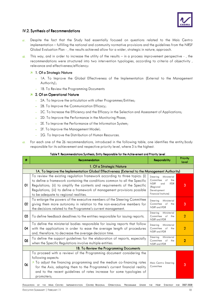

#### IV.2. Synthesis of Recommendations

- 61. Despite the fact that the Study had essentially focused on questions related to the Mais Centro implementation – fulfilling the national and community normative provisions and the guidelines from the NRSF Global Evaluation Plan - , the results achieved allow for a wider, strategic in nature, approach.
- $62.$  This way, and in order to increase the utility of the results in a process improvement perspective -, the recommendations were structured into two intervention typologies, according to criteria of objectivity , relevance and effectiveness/efficiency:

#### 7 1. Of a Strategic Nature

- 1A. To Improve the Global Effectiveness of the Implementation (External to the Management Authority);
- 1B. To Review the Programming Documents

#### $2.$  Of an Operational Nature

- 2A. To Improve the articulation with other Programmes/Entities;
- 2B. To Improve the Communication Efficacy;
- 2C. To Increase the Efficiency and the Efficacy in the Selection and Assessment of Applications;
- 2D. To Improve the Performance in the Monitoring Phase;
- 2E. To Improve the Performance of the Information System;
- 2F. To Improve the Management Model;
- 2G. To Improve the Distribution of Human Resources.
- 63. For each one of the 26 recommendations, introduced in the following table, one identifies the entity/body responsible for its achievement and respective priority level, where 3 is the highest.

#### Table 9. Recommendations Synthesis, Entity Responsible for the Achievement and Priority Level

| #                                       | Recommendation                                                                                                                                                                                                                                                                                                                                                 | <b>Responsibility</b>                                                                                                                | Priority<br>Level |  |  |  |
|-----------------------------------------|----------------------------------------------------------------------------------------------------------------------------------------------------------------------------------------------------------------------------------------------------------------------------------------------------------------------------------------------------------------|--------------------------------------------------------------------------------------------------------------------------------------|-------------------|--|--|--|
| 1. Of a Strategic Nature                |                                                                                                                                                                                                                                                                                                                                                                |                                                                                                                                      |                   |  |  |  |
|                                         | 1A. To Improve the Implementation Global Effectiveness (External to the Management Authority)                                                                                                                                                                                                                                                                  |                                                                                                                                      |                   |  |  |  |
| 01                                      | To review the existing regulation framework according to three topics: (i)<br>to define a framework containing the conditions common to all the Specific<br>Regulations; (ii) to simplify the contents and requirements of the Specific<br>Regulations; (iii) to define a framework of management provisions possible<br>to be adequate to regional realities. | Steering<br>Ministerial<br>Committee of the<br><b>NSRF</b><br><b>IFDR</b><br>and<br>(Regional<br>Development<br>Financial Institute) | 3                 |  |  |  |
| 02                                      | To enlarge the powers of the executive members of the Steering Committee<br>giving them more autonomy in relation to the non-executive members for<br>the decisions related to the Programme's current management.                                                                                                                                             | Ministerial<br>Steering<br>Committee of the<br>NSRF and IFDR                                                                         | 3                 |  |  |  |
| 03                                      | To define feedback deadlines to the entities responsible for issuing reports.                                                                                                                                                                                                                                                                                  | Steering<br>Ministerial<br>Committee of the<br>NSRF and IFDR                                                                         | $\overline{2}$    |  |  |  |
| 04                                      | To define the ministerial bodies responsible for issuing reports that follow<br>with the applications in order to ease the average length of procedures<br>and, therefore, to decrease the average decision time.                                                                                                                                              | Steering<br>Ministerial<br>Committee of<br>the<br>NSRF and IFDR                                                                      | $\overline{2}$    |  |  |  |
| 05                                      | To define the support guidelines for the elaboration of reports, especially<br>when the Specific Regulations involve multiple entities.                                                                                                                                                                                                                        | Steering<br>Ministerial<br>Committee of the<br>NSRF and IFDR                                                                         | $\overline{2}$    |  |  |  |
| 1B. To Review the Programming Documents |                                                                                                                                                                                                                                                                                                                                                                |                                                                                                                                      |                   |  |  |  |
| 06                                      | To proceed with a reviewi of the Programming document considering the<br>following aspects:<br>7 To adjust the financing programming and the medium co-financing rates<br>for the Axis, adapting them to the Programme's current financial reality<br>and to the recent guidelines of rates increase for some typologies of<br>promoters;                      | Mais Centro Steering<br>Committee                                                                                                    | 3                 |  |  |  |

EVALUATION OF THE MAIS CENTRO IMPLEMENTATION CENTRO REGIONAL OPERATIONAL PROGRAMME UNDER THE NSRF STRATEGY FOR 2007-2008 EXECUTIVE SUMMARY | FEBRUARY. 11 18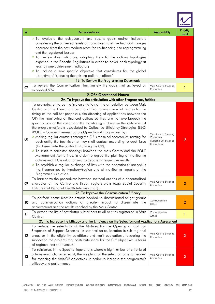

| #               | Recommendation                                                                                                                                                                                                                                                                                                                                                                                                                                                                                                                                                                                                                                                                                                                                                                                                                                                                                                                                                                                                                                                                                                                                      | Responsibility                                                           | Priority<br>Level |
|-----------------|-----------------------------------------------------------------------------------------------------------------------------------------------------------------------------------------------------------------------------------------------------------------------------------------------------------------------------------------------------------------------------------------------------------------------------------------------------------------------------------------------------------------------------------------------------------------------------------------------------------------------------------------------------------------------------------------------------------------------------------------------------------------------------------------------------------------------------------------------------------------------------------------------------------------------------------------------------------------------------------------------------------------------------------------------------------------------------------------------------------------------------------------------------|--------------------------------------------------------------------------|-------------------|
|                 | 7 To evaluate the achievement and results goals and/or indicators<br>considering the achieved levels of commitment and the financial changes<br>occurred from the new medium rates for co-financing, the reprogramming<br>and the registered losses;<br>7 To review Axis indicators, adapting them to the actions typologies<br>exposed in the Specific Regulations in order to cover each typology at                                                                                                                                                                                                                                                                                                                                                                                                                                                                                                                                                                                                                                                                                                                                              |                                                                          |                   |
|                 | least by one achievement indicator;<br>7 To include a new specific objective that contributes for the global                                                                                                                                                                                                                                                                                                                                                                                                                                                                                                                                                                                                                                                                                                                                                                                                                                                                                                                                                                                                                                        |                                                                          |                   |
|                 | objective of "reducing the existing pollution effects".                                                                                                                                                                                                                                                                                                                                                                                                                                                                                                                                                                                                                                                                                                                                                                                                                                                                                                                                                                                                                                                                                             |                                                                          |                   |
|                 | 1B. To Review the Programming Documents                                                                                                                                                                                                                                                                                                                                                                                                                                                                                                                                                                                                                                                                                                                                                                                                                                                                                                                                                                                                                                                                                                             |                                                                          |                   |
| 07              | To review the Communication Plan, namely the goals that achieved or<br>exceeded 50%.                                                                                                                                                                                                                                                                                                                                                                                                                                                                                                                                                                                                                                                                                                                                                                                                                                                                                                                                                                                                                                                                | Mais Centro Steering<br>Committee                                        |                   |
|                 | 2. Of a Operational Nature                                                                                                                                                                                                                                                                                                                                                                                                                                                                                                                                                                                                                                                                                                                                                                                                                                                                                                                                                                                                                                                                                                                          |                                                                          |                   |
|                 | 2A. To Improve the articulation with other Programmes/Entities                                                                                                                                                                                                                                                                                                                                                                                                                                                                                                                                                                                                                                                                                                                                                                                                                                                                                                                                                                                                                                                                                      |                                                                          |                   |
| 08              | To promote/reinforce the implementation of the articulation between Mais<br>Centro and the Thematic Operational Programmes on what relates to: the<br>timing of the call for proposals; the directing of applications between the<br>OP; the monitoring of financed actions so they are not overlapped; the<br>specification of the conditions the monitoring is done on the outcomes of<br>the programmes/plans associated to Collective Efficiency Strategies (EEC)<br>(POFC - Competitiveness Factors Operational Programme) by:<br>7 Making regular contacts among the OP's technical secretariat, naming for<br>each entity the technician(s) they shall contact according to each issue<br>(to disseminate the contact list among the OP);<br>7 To institute semester meetings between the Mais Centro and the POFC<br>Management Authorities, in order to agree the planning of monitoring<br>actions and EEC evaluation and to debate its respective results;<br>7 To establish a regular exchange of lists with the operations financed in<br>the Programmes by typology/region and of monitoring reports of the<br>Programme's situation. | Mais Centro Steering<br>Committee,<br>Thematic OP Steering<br>Committees | 3                 |
| 09              | To harmonize the procedures between sectoral entities of a decentralised<br>character of the Centro and Lisbon regions-plan: (e.g.: Social Security<br>Institute and Regional Health Administration).                                                                                                                                                                                                                                                                                                                                                                                                                                                                                                                                                                                                                                                                                                                                                                                                                                                                                                                                               | Mais Centro Steering<br>Committee                                        | 2                 |
|                 | 2B. To Improve the Communication Efficacy                                                                                                                                                                                                                                                                                                                                                                                                                                                                                                                                                                                                                                                                                                                                                                                                                                                                                                                                                                                                                                                                                                           |                                                                          |                   |
| 10              | To perform communication actions headed to discriminated target-groups<br>and communication actions of greater impact to disseminate the<br>achievements and the results reached by the Mais Centro.                                                                                                                                                                                                                                                                                                                                                                                                                                                                                                                                                                                                                                                                                                                                                                                                                                                                                                                                                | Communication<br>Office                                                  | 2                 |
| $\overline{11}$ | To extend the list of newsletter subscribers to all entities registered in Mais<br>Centro.                                                                                                                                                                                                                                                                                                                                                                                                                                                                                                                                                                                                                                                                                                                                                                                                                                                                                                                                                                                                                                                          | Communication<br>Office                                                  | 1                 |
|                 | 2C. To Increase the Efficacy and the Efficiency on the Selection and Applications Assessment                                                                                                                                                                                                                                                                                                                                                                                                                                                                                                                                                                                                                                                                                                                                                                                                                                                                                                                                                                                                                                                        |                                                                          |                   |
| 12              | To reduce the selectivity of the Notices for the Opening of Call for<br>Proposals of Support Schemes (in sectoral terms, location in sub-regional<br>areas or in the eligibility conditions and merit evaluation), favouring the<br>support to the projects that contribute more for the OP' objectives in terms<br>of regional competitiveness.                                                                                                                                                                                                                                                                                                                                                                                                                                                                                                                                                                                                                                                                                                                                                                                                    | Mais Centro Steering<br>Committee                                        | 3                 |
| 13              | To reinforce, in the Specific Regulations where a high number of criteria of<br>a transversal character exist, the weighing of the selection criteria headed<br>for reaching the Axis/OP objectives, in order to increase the programme's<br>efficacy and performance.                                                                                                                                                                                                                                                                                                                                                                                                                                                                                                                                                                                                                                                                                                                                                                                                                                                                              | Mais Centro Steering<br>Committee                                        | 3                 |